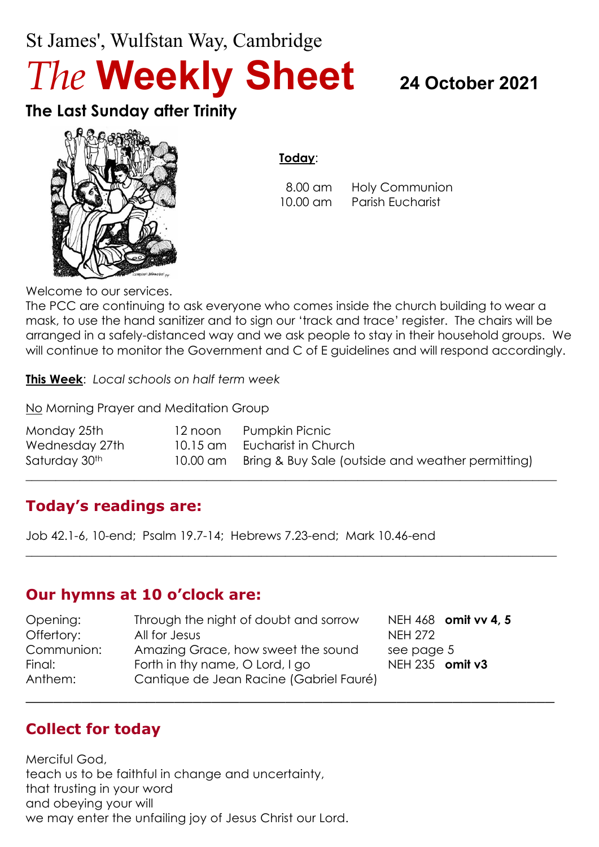# St James', Wulfstan Way, Cambridge *The* **Weekly Sheet <sup>24</sup> October <sup>2021</sup>**

# **The Last Sunday after Trinity**



### **Today**:

 8.00 am Holy Communion 10.00 am Parish Eucharist

Welcome to our services.

The PCC are continuing to ask everyone who comes inside the church building to wear a mask, to use the hand sanitizer and to sign our 'track and trace' register. The chairs will be arranged in a safely-distanced way and we ask people to stay in their household groups. We will continue to monitor the Government and C of E guidelines and will respond accordingly.

**This Week**: *Local schools on half term week*

No Morning Prayer and Meditation Group

| Monday 25th    | 12 noon | Pumpkin Picnic                                             |
|----------------|---------|------------------------------------------------------------|
| Wednesday 27th |         | 10.15 am Eucharist in Church                               |
| Saturday 30th  |         | 10.00 am Bring & Buy Sale (outside and weather permitting) |
|                |         |                                                            |

 $\_$  , and the set of the set of the set of the set of the set of the set of the set of the set of the set of the set of the set of the set of the set of the set of the set of the set of the set of the set of the set of th

# **Today's readings are:**

Job 42.1-6, 10-end; Psalm 19.7-14; Hebrews 7.23-end; Mark 10.46-end

# **Our hymns at 10 o'clock are:**

| Opening:   | Through the night of doubt and sorrow   | NEH 468 <b>omit vv 4, 5</b> |
|------------|-----------------------------------------|-----------------------------|
| Offertory: | All for Jesus                           | <b>NEH 272</b>              |
| Communion: | Amazing Grace, how sweet the sound      | see page 5                  |
| Final:     | Forth in thy name, O Lord, I go         | NEH 235 omit v3             |
| Anthem:    | Cantique de Jean Racine (Gabriel Fauré) |                             |
|            |                                         |                             |

# **Collect for today**

Merciful God, teach us to be faithful in change and uncertainty, that trusting in your word and obeying your will we may enter the unfailing joy of Jesus Christ our Lord.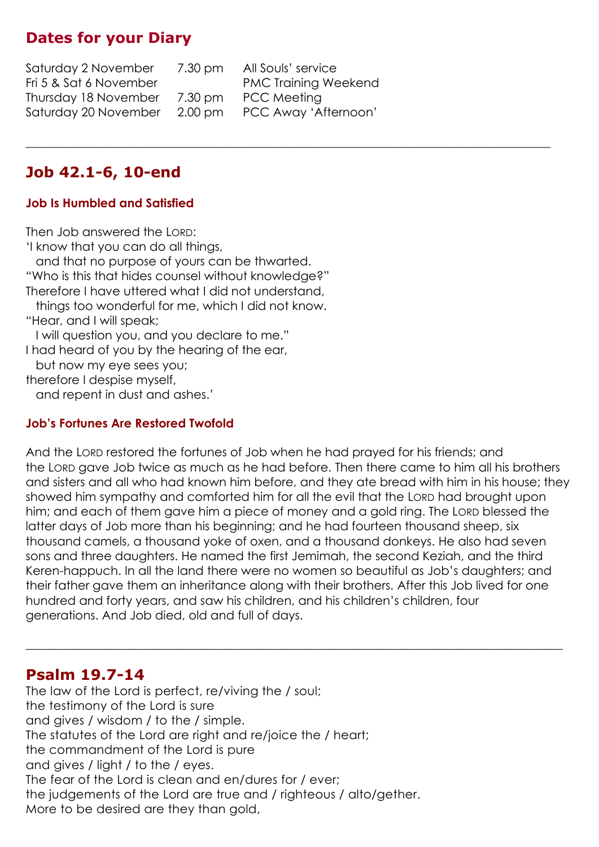# **Dates for your Diary**

| Saturday 2 November    | 7.30 pm           | All Souls' service          |
|------------------------|-------------------|-----------------------------|
| Fri 5 & Sat 6 November |                   | <b>PMC Training Weekend</b> |
| Thursday 18 November   | $7.30 \text{ pm}$ | <b>PCC Meeting</b>          |
| Saturday 20 November   | $2.00 \text{ pm}$ | PCC Away 'Afternoon'        |

# **Job 42.1-6, 10-end**

#### **Job Is Humbled and Satisfied**

Then Job answered the LORD:

'I know that you can do all things, and that no purpose of yours can be thwarted. "Who is this that hides counsel without knowledge?" Therefore I have uttered what I did not understand, things too wonderful for me, which I did not know. "Hear, and I will speak; I will question you, and you declare to me." I had heard of you by the hearing of the ear, but now my eye sees you; therefore I despise myself, and repent in dust and ashes.'

#### **Job's Fortunes Are Restored Twofold**

And the LORD restored the fortunes of Job when he had prayed for his friends; and the LORD gave Job twice as much as he had before. Then there came to him all his brothers and sisters and all who had known him before, and they ate bread with him in his house; they showed him sympathy and comforted him for all the evil that the LORD had brought upon him; and each of them gave him a piece of money and a gold ring. The LORD blessed the latter days of Job more than his beginning; and he had fourteen thousand sheep, six thousand camels, a thousand yoke of oxen, and a thousand donkeys. He also had seven sons and three daughters. He named the first Jemimah, the second Keziah, and the third Keren-happuch. In all the land there were no women so beautiful as Job's daughters; and their father gave them an inheritance along with their brothers. After this Job lived for one hundred and forty years, and saw his children, and his children's children, four generations. And Job died, old and full of days.

 $\_$  , and the set of the set of the set of the set of the set of the set of the set of the set of the set of the set of the set of the set of the set of the set of the set of the set of the set of the set of the set of th

 $\_$  , and the set of the set of the set of the set of the set of the set of the set of the set of the set of the set of the set of the set of the set of the set of the set of the set of the set of the set of the set of th

### **Psalm 19.7-14**

The law of the Lord is perfect, re/viving the / soul; the testimony of the Lord is sure and gives / wisdom / to the / simple. The statutes of the Lord are right and re/joice the / heart; the commandment of the Lord is pure and gives / light / to the / eyes. The fear of the Lord is clean and en/dures for / ever; the judgements of the Lord are true and / righteous / alto/gether. More to be desired are they than gold,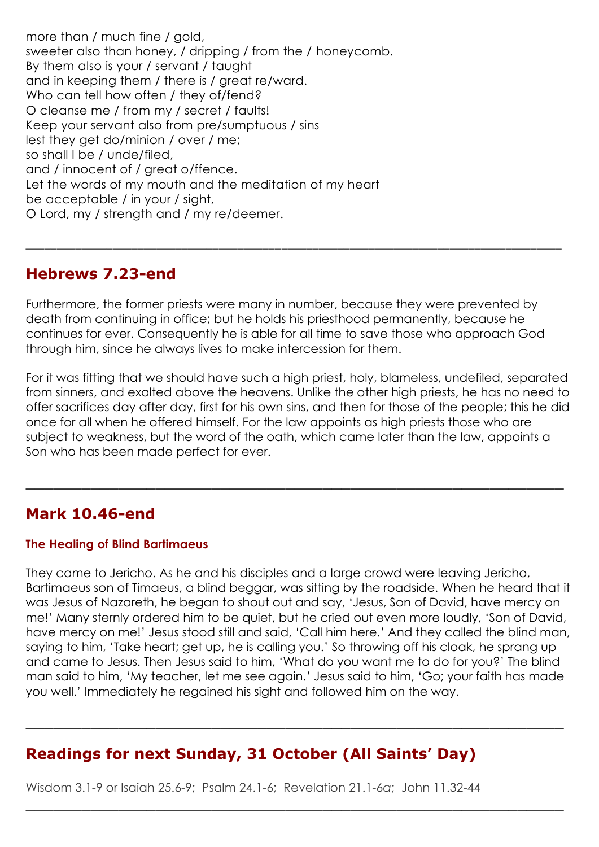more than / much fine / gold, sweeter also than honey, / dripping / from the / honeycomb. By them also is your / servant / taught and in keeping them / there is / great re/ward. Who can tell how often / they of/fend? O cleanse me / from my / secret / faults! Keep your servant also from pre/sumptuous / sins lest they get do/minion / over / me; so shall I be / unde/filed, and / innocent of / great o/ffence. Let the words of my mouth and the meditation of my heart be acceptable / in your / sight, O Lord, my / strength and / my re/deemer.

## **Hebrews 7.23-end**

Furthermore, the former priests were many in number, because they were prevented by death from continuing in office; but he holds his priesthood permanently, because he continues for ever. Consequently he is able for all time to save those who approach God through him, since he always lives to make intercession for them.

\_\_\_\_\_\_\_\_\_\_\_\_\_\_\_\_\_\_\_\_\_\_\_\_\_\_\_\_\_\_\_\_\_\_\_\_\_\_\_\_\_\_\_\_\_\_\_\_\_\_\_\_\_\_\_\_\_\_\_\_\_\_\_\_\_\_\_\_\_\_\_\_\_\_\_\_\_\_\_\_\_\_\_\_\_\_

For it was fitting that we should have such a high priest, holy, blameless, undefiled, separated from sinners, and exalted above the heavens. Unlike the other high priests, he has no need to offer sacrifices day after day, first for his own sins, and then for those of the people; this he did once for all when he offered himself. For the law appoints as high priests those who are subject to weakness, but the word of the oath, which came later than the law, appoints a Son who has been made perfect for ever.

\_\_\_\_\_\_\_\_\_\_\_\_\_\_\_\_\_\_\_\_\_\_\_\_\_\_\_\_\_\_\_\_\_\_\_\_\_\_\_\_\_\_\_\_\_\_\_\_\_\_\_\_\_\_\_\_\_\_

# **Mark 10.46-end**

#### **The Healing of Blind Bartimaeus**

They came to Jericho. As he and his disciples and a large crowd were leaving Jericho, Bartimaeus son of Timaeus, a blind beggar, was sitting by the roadside. When he heard that it was Jesus of Nazareth, he began to shout out and say, 'Jesus, Son of David, have mercy on me!' Many sternly ordered him to be quiet, but he cried out even more loudly, 'Son of David, have mercy on me!' Jesus stood still and said, 'Call him here.' And they called the blind man, saying to him, 'Take heart; get up, he is calling you.' So throwing off his cloak, he sprang up and came to Jesus. Then Jesus said to him, 'What do you want me to do for you?' The blind man said to him, 'My teacher, let me see again.' Jesus said to him, 'Go; your faith has made you well.' Immediately he regained his sight and followed him on the way.

\_\_\_\_\_\_\_\_\_\_\_\_\_\_\_\_\_\_\_\_\_\_\_\_\_\_\_\_\_\_\_\_\_\_\_\_\_\_\_\_\_\_\_\_\_\_\_\_\_\_\_\_\_\_\_\_\_\_

\_\_\_\_\_\_\_\_\_\_\_\_\_\_\_\_\_\_\_\_\_\_\_\_\_\_\_\_\_\_\_\_\_\_\_\_\_\_\_\_\_\_\_\_\_\_\_\_\_\_\_\_\_\_\_\_\_\_

# **Readings for next Sunday, 31 October (All Saints' Day)**

Wisdom 3.1-9 or Isaiah 25.6-9; Psalm 24.1-6; Revelation 21.1-6*a*; John 11.32-44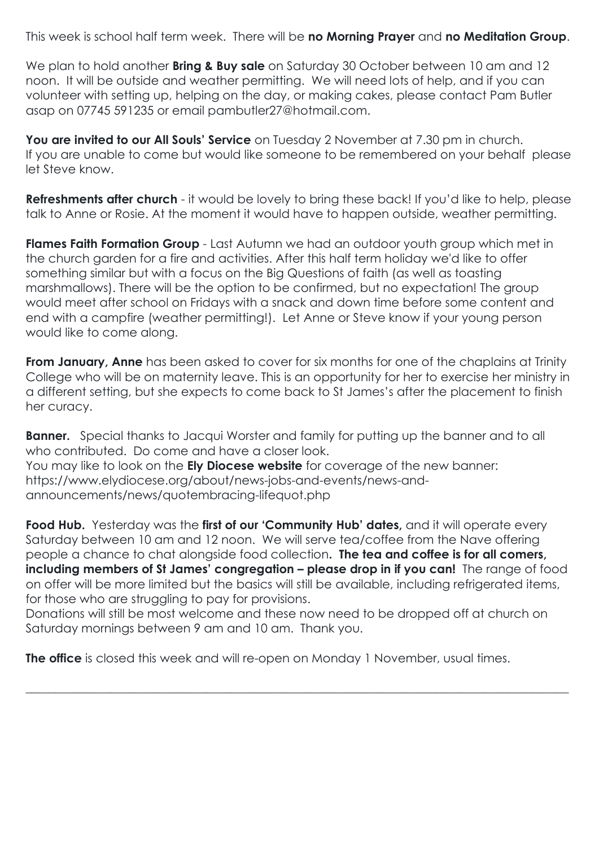This week is school half term week. There will be **no Morning Prayer** and **no Meditation Group**.

We plan to hold another **Bring & Buy sale** on Saturday 30 October between 10 am and 12 noon. It will be outside and weather permitting. We will need lots of help, and if you can volunteer with setting up, helping on the day, or making cakes, please contact Pam Butler asap on 07745 591235 or email pambutler27@hotmail.com.

You are invited to our All Souls' Service on Tuesday 2 November at 7.30 pm in church. If you are unable to come but would like someone to be remembered on your behalf please let Steve know.

**Refreshments after church** - it would be lovely to bring these back! If you'd like to help, please talk to Anne or Rosie. At the moment it would have to happen outside, weather permitting.

**Flames Faith Formation Group** - Last Autumn we had an outdoor youth group which met in the church garden for a fire and activities. After this half term holiday we'd like to offer something similar but with a focus on the Big Questions of faith (as well as toasting marshmallows). There will be the option to be confirmed, but no expectation! The group would meet after school on Fridays with a snack and down time before some content and end with a campfire (weather permitting!). Let Anne or Steve know if your young person would like to come along.

**From January, Anne** has been asked to cover for six months for one of the chaplains at Trinity College who will be on maternity leave. This is an opportunity for her to exercise her ministry in a different setting, but she expects to come back to St James's after the placement to finish her curacy.

**Banner.** Special thanks to Jacqui Worster and family for putting up the banner and to all who contributed. Do come and have a closer look. You may like to look on the **Ely Diocese website** for coverage of the new banner: https://www.elydiocese.org/about/news-jobs-and-events/news-andannouncements/news/quotembracing-lifequot.php

**Food Hub.** Yesterday was the **first of our 'Community Hub' dates,** and it will operate every Saturday between 10 am and 12 noon. We will serve tea/coffee from the Nave offering people a chance to chat alongside food collection**. The tea and coffee is for all comers, including members of St James' congregation – please drop in if you can!** The range of food on offer will be more limited but the basics will still be available, including refrigerated items, for those who are struggling to pay for provisions.

Donations will still be most welcome and these now need to be dropped off at church on Saturday mornings between 9 am and 10 am. Thank you.

 $\_$  , and the set of the set of the set of the set of the set of the set of the set of the set of the set of the set of the set of the set of the set of the set of the set of the set of the set of the set of the set of th

**The office** is closed this week and will re-open on Monday 1 November, usual times.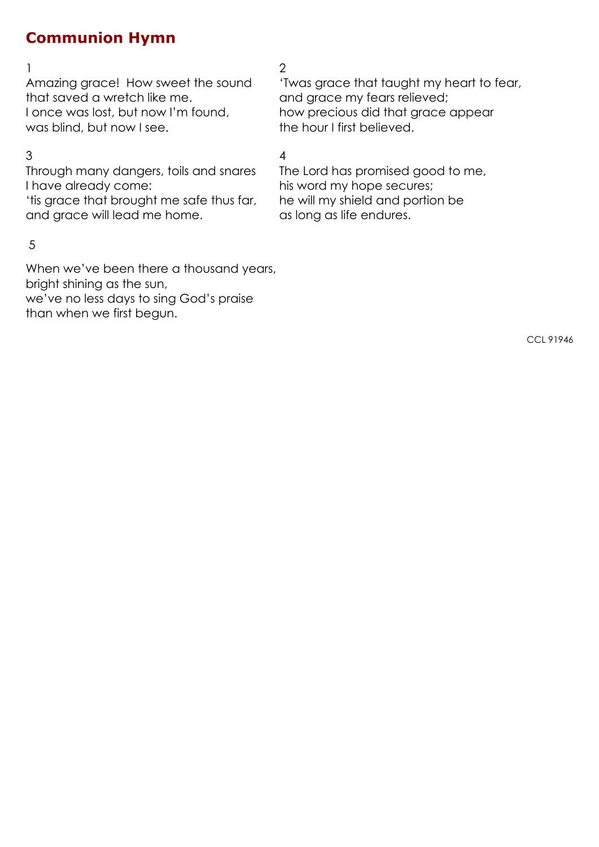# **Communion Hymn**

Amazing grace! How sweet the sound 'Twas grace that taught my heart to fear, that saved a wretch like me. and grace my fears relieved; I once was lost, but now I'm found, how precious did that grace appear was blind, but now I see. the hour I first believed.

### $3 \overline{4}$

Through many dangers, toils and snares The Lord has promised good to me,

'tis grace that brought me safe thus far, and grace will lead me home. as long as life endures.

#### 5

When we've been there a thousand years, bright shining as the sun, we've no less days to sing God's praise than when we first begun.

#### $1$  2

I have already come:<br>
'tis grace that brought me safe thus far, he will my shield and portion be